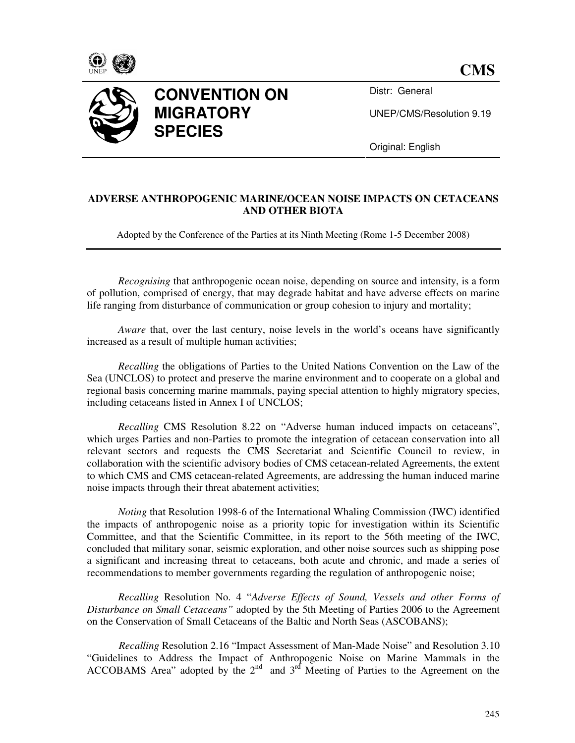



## **CONVENTION ON MIGRATORY SPECIES**

Distr: General

UNEP/CMS/Resolution 9.19

Original: English

## **ADVERSE ANTHROPOGENIC MARINE/OCEAN NOISE IMPACTS ON CETACEANS AND OTHER BIOTA**

Adopted by the Conference of the Parties at its Ninth Meeting (Rome 1-5 December 2008)

*Recognising* that anthropogenic ocean noise, depending on source and intensity, is a form of pollution, comprised of energy, that may degrade habitat and have adverse effects on marine life ranging from disturbance of communication or group cohesion to injury and mortality;

*Aware* that, over the last century, noise levels in the world's oceans have significantly increased as a result of multiple human activities;

*Recalling* the obligations of Parties to the United Nations Convention on the Law of the Sea (UNCLOS) to protect and preserve the marine environment and to cooperate on a global and regional basis concerning marine mammals, paying special attention to highly migratory species, including cetaceans listed in Annex I of UNCLOS;

*Recalling* CMS Resolution 8.22 on "Adverse human induced impacts on cetaceans", which urges Parties and non-Parties to promote the integration of cetacean conservation into all relevant sectors and requests the CMS Secretariat and Scientific Council to review, in collaboration with the scientific advisory bodies of CMS cetacean-related Agreements, the extent to which CMS and CMS cetacean-related Agreements, are addressing the human induced marine noise impacts through their threat abatement activities;

*Noting* that Resolution 1998-6 of the International Whaling Commission (IWC) identified the impacts of anthropogenic noise as a priority topic for investigation within its Scientific Committee, and that the Scientific Committee, in its report to the 56th meeting of the IWC, concluded that military sonar, seismic exploration, and other noise sources such as shipping pose a significant and increasing threat to cetaceans, both acute and chronic, and made a series of recommendations to member governments regarding the regulation of anthropogenic noise;

*Recalling* Resolution No. 4 "*Adverse Effects of Sound, Vessels and other Forms of Disturbance on Small Cetaceans"* adopted by the 5th Meeting of Parties 2006 to the Agreement on the Conservation of Small Cetaceans of the Baltic and North Seas (ASCOBANS);

*Recalling* Resolution 2.16 "Impact Assessment of Man-Made Noise" and Resolution 3.10 "Guidelines to Address the Impact of Anthropogenic Noise on Marine Mammals in the ACCOBAMS Area" adopted by the  $2<sup>nd</sup>$  and  $3<sup>rd</sup>$  Meeting of Parties to the Agreement on the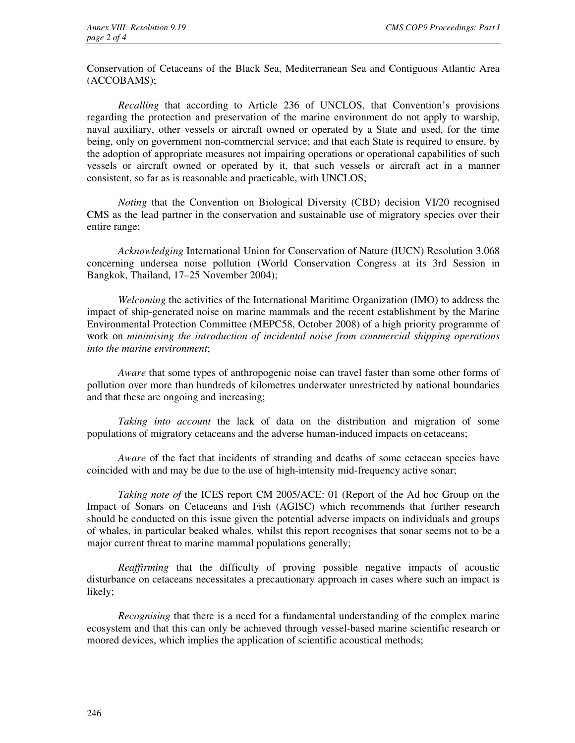Conservation of Cetaceans of the Black Sea, Mediterranean Sea and Contiguous Atlantic Area (ACCOBAMS);

*Recalling* that according to Article 236 of UNCLOS, that Convention's provisions regarding the protection and preservation of the marine environment do not apply to warship, naval auxiliary, other vessels or aircraft owned or operated by a State and used, for the time being, only on government non-commercial service; and that each State is required to ensure, by the adoption of appropriate measures not impairing operations or operational capabilities of such vessels or aircraft owned or operated by it, that such vessels or aircraft act in a manner consistent, so far as is reasonable and practicable, with UNCLOS;

*Noting* that the Convention on Biological Diversity (CBD) decision VI/20 recognised CMS as the lead partner in the conservation and sustainable use of migratory species over their entire range;

*Acknowledging* International Union for Conservation of Nature (IUCN) Resolution 3.068 concerning undersea noise pollution (World Conservation Congress at its 3rd Session in Bangkok, Thailand, 17–25 November 2004);

*Welcoming* the activities of the International Maritime Organization (IMO) to address the impact of ship-generated noise on marine mammals and the recent establishment by the Marine Environmental Protection Committee (MEPC58, October 2008) of a high priority programme of work on *minimising the introduction of incidental noise from commercial shipping operations into the marine environment*;

*Aware* that some types of anthropogenic noise can travel faster than some other forms of pollution over more than hundreds of kilometres underwater unrestricted by national boundaries and that these are ongoing and increasing;

*Taking into account* the lack of data on the distribution and migration of some populations of migratory cetaceans and the adverse human-induced impacts on cetaceans;

*Aware* of the fact that incidents of stranding and deaths of some cetacean species have coincided with and may be due to the use of high-intensity mid-frequency active sonar;

*Taking note of* the ICES report CM 2005/ACE: 01 (Report of the Ad hoc Group on the Impact of Sonars on Cetaceans and Fish (AGISC) which recommends that further research should be conducted on this issue given the potential adverse impacts on individuals and groups of whales, in particular beaked whales, whilst this report recognises that sonar seems not to be a major current threat to marine mammal populations generally;

*Reaffirming* that the difficulty of proving possible negative impacts of acoustic disturbance on cetaceans necessitates a precautionary approach in cases where such an impact is likely;

*Recognising* that there is a need for a fundamental understanding of the complex marine ecosystem and that this can only be achieved through vessel-based marine scientific research or moored devices, which implies the application of scientific acoustical methods;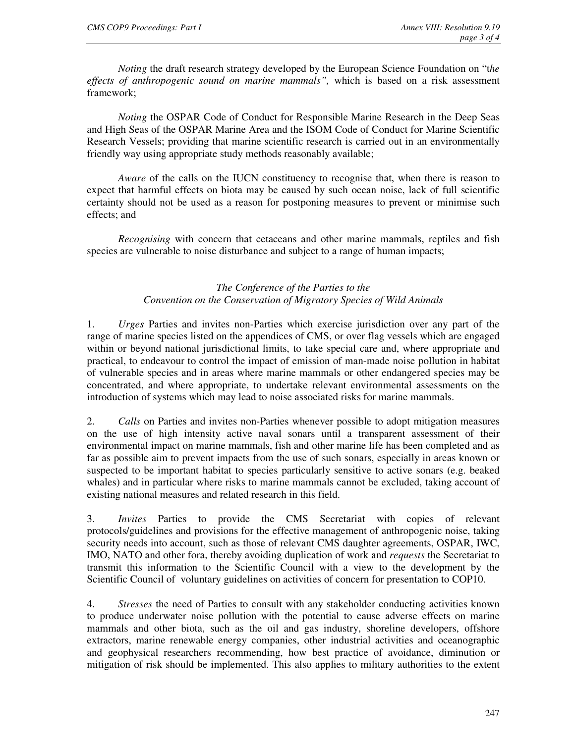*Noting* the draft research strategy developed by the European Science Foundation on "t*he effects of anthropogenic sound on marine mammals",* which is based on a risk assessment framework;

*Noting* the OSPAR Code of Conduct for Responsible Marine Research in the Deep Seas and High Seas of the OSPAR Marine Area and the ISOM Code of Conduct for Marine Scientific Research Vessels; providing that marine scientific research is carried out in an environmentally friendly way using appropriate study methods reasonably available;

*Aware* of the calls on the IUCN constituency to recognise that, when there is reason to expect that harmful effects on biota may be caused by such ocean noise, lack of full scientific certainty should not be used as a reason for postponing measures to prevent or minimise such effects; and

*Recognising* with concern that cetaceans and other marine mammals, reptiles and fish species are vulnerable to noise disturbance and subject to a range of human impacts;

## *The Conference of the Parties to the Convention on the Conservation of Migratory Species of Wild Animals*

1. *Urges* Parties and invites non-Parties which exercise jurisdiction over any part of the range of marine species listed on the appendices of CMS, or over flag vessels which are engaged within or beyond national jurisdictional limits, to take special care and, where appropriate and practical, to endeavour to control the impact of emission of man-made noise pollution in habitat of vulnerable species and in areas where marine mammals or other endangered species may be concentrated, and where appropriate, to undertake relevant environmental assessments on the introduction of systems which may lead to noise associated risks for marine mammals.

2. *Calls* on Parties and invites non-Parties whenever possible to adopt mitigation measures on the use of high intensity active naval sonars until a transparent assessment of their environmental impact on marine mammals, fish and other marine life has been completed and as far as possible aim to prevent impacts from the use of such sonars, especially in areas known or suspected to be important habitat to species particularly sensitive to active sonars (e.g. beaked whales) and in particular where risks to marine mammals cannot be excluded, taking account of existing national measures and related research in this field.

3. *Invites* Parties to provide the CMS Secretariat with copies of relevant protocols/guidelines and provisions for the effective management of anthropogenic noise, taking security needs into account, such as those of relevant CMS daughter agreements, OSPAR, IWC, IMO, NATO and other fora, thereby avoiding duplication of work and *requests* the Secretariat to transmit this information to the Scientific Council with a view to the development by the Scientific Council of voluntary guidelines on activities of concern for presentation to COP10.

4. *Stresses* the need of Parties to consult with any stakeholder conducting activities known to produce underwater noise pollution with the potential to cause adverse effects on marine mammals and other biota, such as the oil and gas industry, shoreline developers, offshore extractors, marine renewable energy companies, other industrial activities and oceanographic and geophysical researchers recommending, how best practice of avoidance, diminution or mitigation of risk should be implemented. This also applies to military authorities to the extent